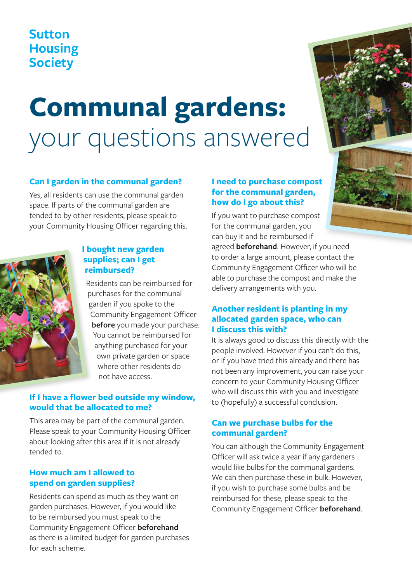## **Sutton Housing Society**

# **Communal gardens:**  your questions answered

#### **Can I garden in the communal garden?**

Yes, all residents can use the communal garden space. If parts of the communal garden are tended to by other residents, please speak to your Community Housing Officer regarding this.



#### **I bought new garden supplies; can I get reimbursed?**

Residents can be reimbursed for purchases for the communal garden if you spoke to the Community Engagement Officer **before** you made your purchase. You cannot be reimbursed for anything purchased for your own private garden or space where other residents do not have access.

#### **If I have a flower bed outside my window, would that be allocated to me?**

This area may be part of the communal garden. Please speak to your Community Housing Officer about looking after this area if it is not already tended to.

#### **How much am I allowed to spend on garden supplies?**

Residents can spend as much as they want on garden purchases. However, if you would like to be reimbursed you must speak to the Community Engagement Officer **beforehand** as there is a limited budget for garden purchases for each scheme.

#### **I need to purchase compost for the communal garden, how do I go about this?**

If you want to purchase compost for the communal garden, you can buy it and be reimbursed if

agreed **beforehand**. However, if you need to order a large amount, please contact the Community Engagement Officer who will be able to purchase the compost and make the delivery arrangements with you.

#### **Another resident is planting in my allocated garden space, who can I discuss this with?**

It is always good to discuss this directly with the people involved. However if you can't do this, or if you have tried this already and there has not been any improvement, you can raise your concern to your Community Housing Officer who will discuss this with you and investigate to (hopefully) a successful conclusion.

#### **Can we purchase bulbs for the communal garden?**

You can although the Community Engagement Officer will ask twice a year if any gardeners would like bulbs for the communal gardens. We can then purchase these in bulk. However, if you wish to purchase some bulbs and be reimbursed for these, please speak to the Community Engagement Officer **beforehand**.